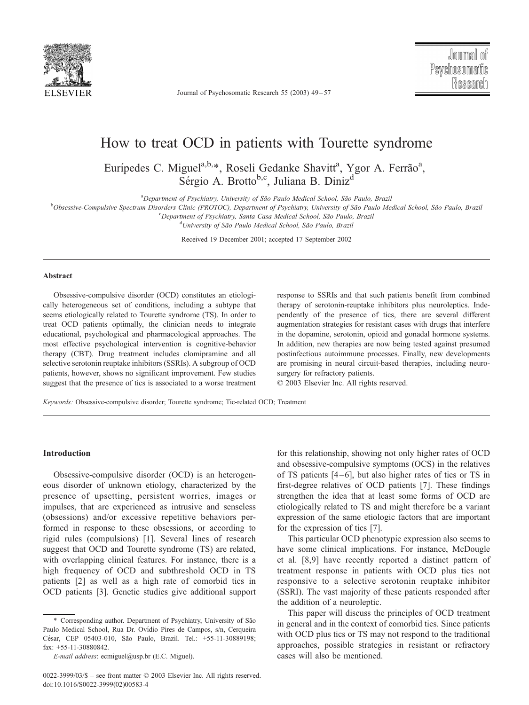

Journal of Psychosomatic Research 55 (2003) 49 – 57

# How to treat OCD in patients with Tourette syndrome

Eurípedes C. Miguel<sup>a,b,\*</sup>, Roseli Gedanke Shavitt<sup>a</sup>, Ygor A. Ferrão<sup>a</sup>, Sérgio A. Brotto<sup>b,c</sup>, Juliana B. Diniz<sup>d</sup>

<sup>a</sup>Department of Psychiatry, University of São Paulo Medical School, São Paulo, Brazil <sup>a</sup>Department of Psychiatry, University of São Paulo Medical School, São Paulo, Brazil في Poheassive Compulsive Spectrum Disorders Clinic (PPOTOC). Department of Psychiatry University of São Paulo Me

Obsessive-Compulsive Spectrum Disorders Clinic (PROTOC), Department of Psychiatry, University of São Paulo Medical School, São Paulo, Brazil<br><sup>C</sup>Ronartment of Psychiatry, Santa Casa Medical School, São Paulo, Brazil

<sup>c</sup>Department of Psychiatry, Santa Casa Medical School, São Paulo, Brazil

<sup>d</sup>University of São Paulo Medical School, São Paulo, Brazil

Received 19 December 2001; accepted 17 September 2002

#### Abstract

Obsessive-compulsive disorder (OCD) constitutes an etiologically heterogeneous set of conditions, including a subtype that seems etiologically related to Tourette syndrome (TS). In order to treat OCD patients optimally, the clinician needs to integrate educational, psychological and pharmacological approaches. The most effective psychological intervention is cognitive-behavior therapy (CBT). Drug treatment includes clomipramine and all selective serotonin reuptake inhibitors (SSRIs). A subgroup of OCD patients, however, shows no significant improvement. Few studies suggest that the presence of tics is associated to a worse treatment response to SSRIs and that such patients benefit from combined therapy of serotonin-reuptake inhibitors plus neuroleptics. Independently of the presence of tics, there are several different augmentation strategies for resistant cases with drugs that interfere in the dopamine, serotonin, opioid and gonadal hormone systems. In addition, new therapies are now being tested against presumed postinfectious autoimmune processes. Finally, new developments are promising in neural circuit-based therapies, including neurosurgery for refractory patients.

 $© 2003 Elsevier Inc. All rights reserved.$ 

Keywords: Obsessive-compulsive disorder; Tourette syndrome; Tic-related OCD; Treatment

#### Introduction

Obsessive-compulsive disorder (OCD) is an heterogeneous disorder of unknown etiology, characterized by the presence of upsetting, persistent worries, images or impulses, that are experienced as intrusive and senseless (obsessions) and/or excessive repetitive behaviors performed in response to these obsessions, or according to rigid rules (compulsions) [1]. Several lines of research suggest that OCD and Tourette syndrome (TS) are related, with overlapping clinical features. For instance, there is a high frequency of OCD and subthreshold OCD in TS patients [2] as well as a high rate of comorbid tics in OCD patients [3]. Genetic studies give additional support for this relationship, showing not only higher rates of OCD and obsessive-compulsive symptoms (OCS) in the relatives of TS patients  $[4-6]$ , but also higher rates of tics or TS in first-degree relatives of OCD patients [7]. These findings strengthen the idea that at least some forms of OCD are etiologically related to TS and might therefore be a variant expression of the same etiologic factors that are important for the expression of tics [7].

This particular OCD phenotypic expression also seems to have some clinical implications. For instance, McDougle et al. [8,9] have recently reported a distinct pattern of treatment response in patients with OCD plus tics not responsive to a selective serotonin reuptake inhibitor (SSRI). The vast majority of these patients responded after the addition of a neuroleptic.

This paper will discuss the principles of OCD treatment in general and in the context of comorbid tics. Since patients with OCD plus tics or TS may not respond to the traditional approaches, possible strategies in resistant or refractory cases will also be mentioned.

<sup>\*</sup> Corresponding author. Department of Psychiatry, University of Sa˜o Paulo Medical School, Rua Dr. Ovídio Pires de Campos, s/n, Cerqueira César, CEP 05403-010, São Paulo, Brazil. Tel.: +55-11-30889198; fax: +55-11-30880842.

E-mail address: ecmiguel@usp.br (E.C. Miguel).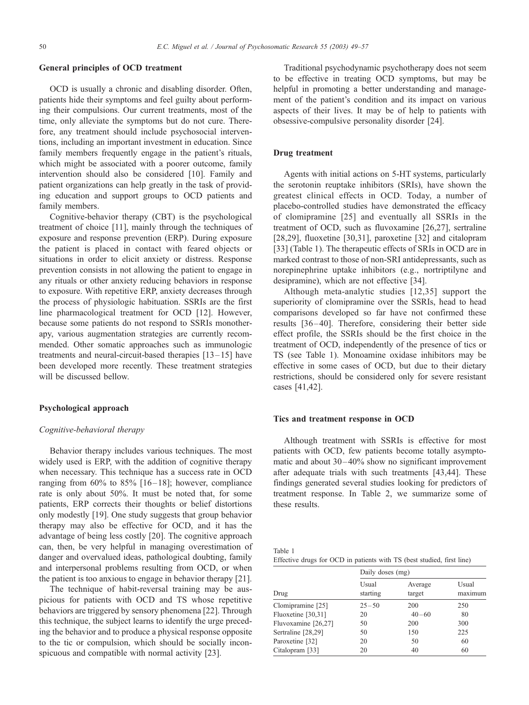# General principles of OCD treatment

OCD is usually a chronic and disabling disorder. Often, patients hide their symptoms and feel guilty about performing their compulsions. Our current treatments, most of the time, only alleviate the symptoms but do not cure. Therefore, any treatment should include psychosocial interventions, including an important investment in education. Since family members frequently engage in the patient's rituals, which might be associated with a poorer outcome, family intervention should also be considered [10]. Family and patient organizations can help greatly in the task of providing education and support groups to OCD patients and family members.

Cognitive-behavior therapy (CBT) is the psychological treatment of choice [11], mainly through the techniques of exposure and response prevention (ERP). During exposure the patient is placed in contact with feared objects or situations in order to elicit anxiety or distress. Response prevention consists in not allowing the patient to engage in any rituals or other anxiety reducing behaviors in response to exposure. With repetitive ERP, anxiety decreases through the process of physiologic habituation. SSRIs are the first line pharmacological treatment for OCD [12]. However, because some patients do not respond to SSRIs monotherapy, various augmentation strategies are currently recommended. Other somatic approaches such as immunologic treatments and neural-circuit-based therapies  $[13-15]$  have been developed more recently. These treatment strategies will be discussed bellow.

### Psychological approach

### Cognitive-behavioral therapy

Behavior therapy includes various techniques. The most widely used is ERP, with the addition of cognitive therapy when necessary. This technique has a success rate in OCD ranging from  $60\%$  to  $85\%$  [16-18]; however, compliance rate is only about 50%. It must be noted that, for some patients, ERP corrects their thoughts or belief distortions only modestly [19]. One study suggests that group behavior therapy may also be effective for OCD, and it has the advantage of being less costly [20]. The cognitive approach can, then, be very helpful in managing overestimation of danger and overvalued ideas, pathological doubting, family and interpersonal problems resulting from OCD, or when the patient is too anxious to engage in behavior therapy [21].

The technique of habit-reversal training may be auspicious for patients with OCD and TS whose repetitive behaviors are triggered by sensory phenomena [22]. Through this technique, the subject learns to identify the urge preceding the behavior and to produce a physical response opposite to the tic or compulsion, which should be socially inconspicuous and compatible with normal activity [23].

Traditional psychodynamic psychotherapy does not seem to be effective in treating OCD symptoms, but may be helpful in promoting a better understanding and management of the patient's condition and its impact on various aspects of their lives. It may be of help to patients with obsessive-compulsive personality disorder [24].

# Drug treatment

Agents with initial actions on 5-HT systems, particularly the serotonin reuptake inhibitors (SRIs), have shown the greatest clinical effects in OCD. Today, a number of placebo-controlled studies have demonstrated the efficacy of clomipramine [25] and eventually all SSRIs in the treatment of OCD, such as fluvoxamine [26,27], sertraline [28,29], fluoxetine [30,31], paroxetine [32] and citalopram [33] (Table 1). The therapeutic effects of SRIs in OCD are in marked contrast to those of non-SRI antidepressants, such as norepinephrine uptake inhibitors (e.g., nortriptilyne and desipramine), which are not effective [34].

Although meta-analytic studies [12,35] support the superiority of clomipramine over the SSRIs, head to head comparisons developed so far have not confirmed these results [36 – 40]. Therefore, considering their better side effect profile, the SSRIs should be the first choice in the treatment of OCD, independently of the presence of tics or TS (see Table 1). Monoamine oxidase inhibitors may be effective in some cases of OCD, but due to their dietary restrictions, should be considered only for severe resistant cases [41,42].

#### Tics and treatment response in OCD

Although treatment with SSRIs is effective for most patients with OCD, few patients become totally asymptomatic and about  $30-40\%$  show no significant improvement after adequate trials with such treatments [43,44]. These findings generated several studies looking for predictors of treatment response. In Table 2, we summarize some of these results.

| Table 1                                                                |  |  |  |  |  |  |
|------------------------------------------------------------------------|--|--|--|--|--|--|
| Effective drugs for OCD in patients with TS (best studied, first line) |  |  |  |  |  |  |

|                     | Daily doses (mg)  |                   |                  |  |  |  |  |
|---------------------|-------------------|-------------------|------------------|--|--|--|--|
| Drug                | Usual<br>starting | Average<br>target | Usual<br>maximum |  |  |  |  |
| Clomipramine [25]   | $25 - 50$         | 200               | 250              |  |  |  |  |
| Fluoxetine [30,31]  | 20                | $40 - 60$         | 80               |  |  |  |  |
| Fluvoxamine [26,27] | 50                | 200               | 300              |  |  |  |  |
| Sertraline [28,29]  | 50                | 150               | 225              |  |  |  |  |
| Paroxetine [32]     | 20                | 50                | 60               |  |  |  |  |
| Citalopram [33]     | 20                | 40                | 60               |  |  |  |  |